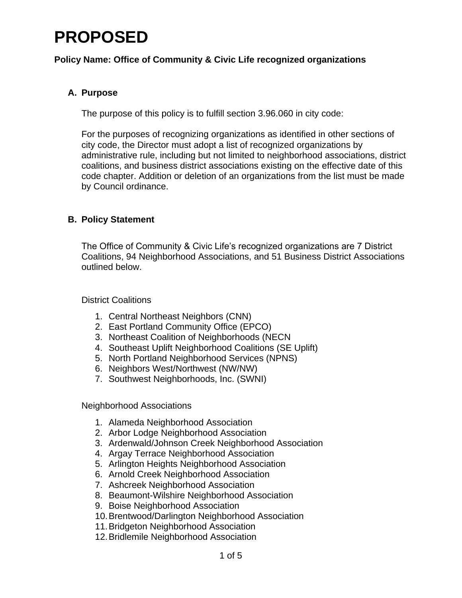### **Policy Name: Office of Community & Civic Life recognized organizations**

### **A. Purpose**

The purpose of this policy is to fulfill section 3.96.060 in city code:

For the purposes of recognizing organizations as identified in other sections of city code, the Director must adopt a list of recognized organizations by administrative rule, including but not limited to neighborhood associations, district coalitions, and business district associations existing on the effective date of this code chapter. Addition or deletion of an organizations from the list must be made by Council ordinance.

### **B. Policy Statement**

The Office of Community & Civic Life's recognized organizations are 7 District Coalitions, 94 Neighborhood Associations, and 51 Business District Associations outlined below.

#### District Coalitions

- 1. Central Northeast Neighbors (CNN)
- 2. East Portland Community Office (EPCO)
- 3. Northeast Coalition of Neighborhoods (NECN
- 4. Southeast Uplift Neighborhood Coalitions (SE Uplift)
- 5. North Portland Neighborhood Services (NPNS)
- 6. Neighbors West/Northwest (NW/NW)
- 7. Southwest Neighborhoods, Inc. (SWNI)

Neighborhood Associations

- 1. Alameda Neighborhood Association
- 2. Arbor Lodge Neighborhood Association
- 3. Ardenwald/Johnson Creek Neighborhood Association
- 4. Argay Terrace Neighborhood Association
- 5. Arlington Heights Neighborhood Association
- 6. Arnold Creek Neighborhood Association
- 7. Ashcreek Neighborhood Association
- 8. Beaumont-Wilshire Neighborhood Association
- 9. Boise Neighborhood Association
- 10.Brentwood/Darlington Neighborhood Association
- 11.Bridgeton Neighborhood Association
- 12.Bridlemile Neighborhood Association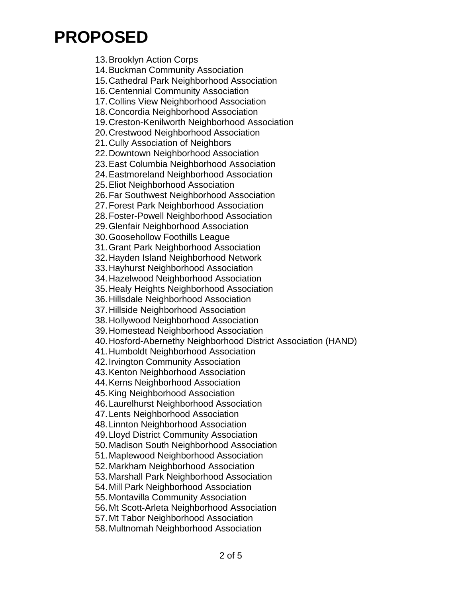13.Brooklyn Action Corps 14.Buckman Community Association 15.Cathedral Park Neighborhood Association 16.Centennial Community Association 17.Collins View Neighborhood Association 18.Concordia Neighborhood Association 19.Creston-Kenilworth Neighborhood Association 20.Crestwood Neighborhood Association 21.Cully Association of Neighbors 22.Downtown Neighborhood Association 23.East Columbia Neighborhood Association 24.Eastmoreland Neighborhood Association 25.Eliot Neighborhood Association 26.Far Southwest Neighborhood Association 27.Forest Park Neighborhood Association 28.Foster-Powell Neighborhood Association 29.Glenfair Neighborhood Association 30.Goosehollow Foothills League 31.Grant Park Neighborhood Association 32.Hayden Island Neighborhood Network 33.Hayhurst Neighborhood Association 34.Hazelwood Neighborhood Association 35.Healy Heights Neighborhood Association 36.Hillsdale Neighborhood Association 37.Hillside Neighborhood Association 38.Hollywood Neighborhood Association 39.Homestead Neighborhood Association 40.Hosford-Abernethy Neighborhood District Association (HAND) 41.Humboldt Neighborhood Association 42.Irvington Community Association 43.Kenton Neighborhood Association 44.Kerns Neighborhood Association 45.King Neighborhood Association 46.Laurelhurst Neighborhood Association 47.Lents Neighborhood Association 48.Linnton Neighborhood Association 49.Lloyd District Community Association 50.Madison South Neighborhood Association 51.Maplewood Neighborhood Association 52.Markham Neighborhood Association 53.Marshall Park Neighborhood Association 54.Mill Park Neighborhood Association 55.Montavilla Community Association 56.Mt Scott-Arleta Neighborhood Association 57.Mt Tabor Neighborhood Association 58.Multnomah Neighborhood Association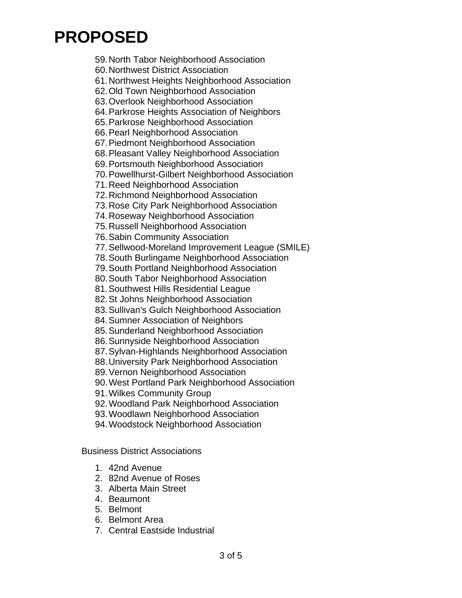59.North Tabor Neighborhood Association

60.Northwest District Association

61.Northwest Heights Neighborhood Association

62.Old Town Neighborhood Association

63.Overlook Neighborhood Association

64.Parkrose Heights Association of Neighbors

65.Parkrose Neighborhood Association

66.Pearl Neighborhood Association

67.Piedmont Neighborhood Association

68.Pleasant Valley Neighborhood Association

69.Portsmouth Neighborhood Association

70.Powellhurst-Gilbert Neighborhood Association

71.Reed Neighborhood Association

72.Richmond Neighborhood Association

73.Rose City Park Neighborhood Association

74.Roseway Neighborhood Association

75.Russell Neighborhood Association

76.Sabin Community Association

77.Sellwood-Moreland Improvement League (SMILE)

78.South Burlingame Neighborhood Association

79.South Portland Neighborhood Association

80.South Tabor Neighborhood Association

81.Southwest Hills Residential League

82.St Johns Neighborhood Association

83.Sullivan's Gulch Neighborhood Association

84.Sumner Association of Neighbors

85.Sunderland Neighborhood Association

86.Sunnyside Neighborhood Association

87.Sylvan-Highlands Neighborhood Association

88.University Park Neighborhood Association

89.Vernon Neighborhood Association

90.West Portland Park Neighborhood Association

91.Wilkes Community Group

92.Woodland Park Neighborhood Association

93.Woodlawn Neighborhood Association

94.Woodstock Neighborhood Association

Business District Associations

- 1. 42nd Avenue
- 2. 82nd Avenue of Roses
- 3. Alberta Main Street
- 4. Beaumont
- 5. Belmont
- 6. Belmont Area
- 7. Central Eastside Industrial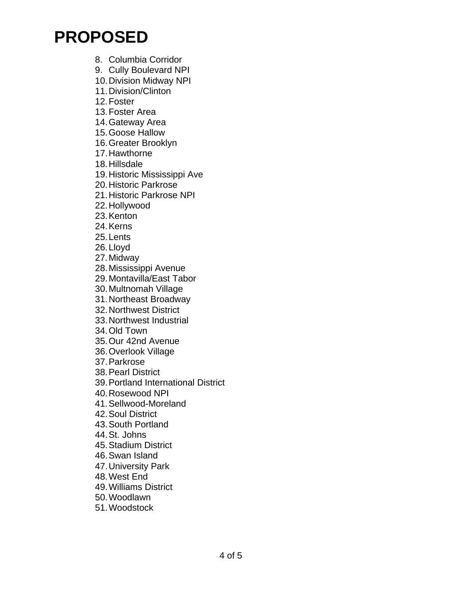8. Columbia Corridor

9. Cully Boulevard NPI

10.Division Midway NPI

11.Division/Clinton

12.Foster

13.Foster Area

14.Gateway Area

15.Goose Hallow

16.Greater Brooklyn

17.Hawthorne

18.Hillsdale

19.Historic Mississippi Ave

20.Historic Parkrose

21.Historic Parkrose NPI

22.Hollywood

23.Kenton

24.Kerns

25.Lents

26.Lloyd

27.Midway

28.Mississippi Avenue

29.Montavilla/East Tabor

30.Multnomah Village

31.Northeast Broadway

32.Northwest District

33.Northwest Industrial

34.Old Town

35.Our 42nd Avenue

36.Overlook Village

37.Parkrose

38.Pearl District

39.Portland International District

40.Rosewood NPI

41.Sellwood-Moreland

42.Soul District

43.South Portland

44.St. Johns

45.Stadium District

46.Swan Island

47.University Park

48.West End

49.Williams District

50.Woodlawn

51.Woodstock